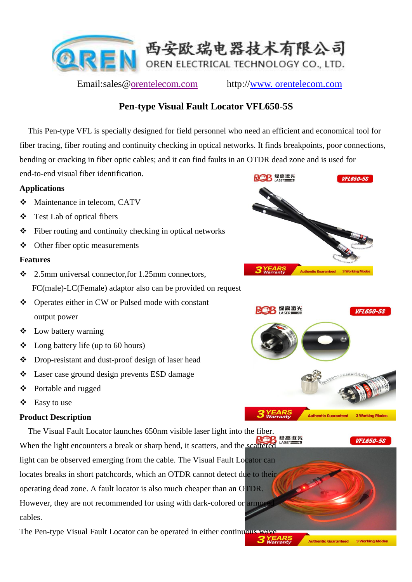

Email:sales@orentelecom.com http://www. orentelecom.com

# **Pen-type Visual Fault Locator VFL650-5S**

 This Pen-type VFL is specially designed for field personnel who need an efficient and economical tool for fiber tracing, fiber routing and continuity checking in optical networks. It finds breakpoints, poor connections, bending or cracking in fiber optic cables; and it can find faults in an OTDR dead zone and is used for

end-to-end visual fiber identification.

## **Applications**

- Maintenance in telecom, CATV
- Test Lab of optical fibers
- $\div$  Fiber routing and continuity checking in optical networks
- Other fiber optic measurements

#### **Features**

- 2.5mm universal connector,for 1.25mm connectors, FC(male)-LC(Female) adaptor also can be provided on request
- Operates either in CW or Pulsed mode with constant output power
- Low battery warning
- $\triangleleft$  Long battery life (up to 60 hours)
- Drop-resistant and dust-proof design of laser head
- Laser case ground design prevents ESD damage
- Portable and rugged
- Easy to use

## **Product Description**

 The Visual Fault Locator launches 650nm visible laser light into the fiber. 绿高激光 **VFI 650-58** When the light encounters a break or sharp bend, it scatters, and the scattered light can be observed emerging from the cable. The Visual Fault Locator can locates breaks in short patchcords, which an OTDR cannot detect due to their operating dead zone. A fault locator is also much cheaper than an OTDR. However, they are not recommended for using with dark-colored or armore cables.

The Pen-type Visual Fault Locator can be operated in either continuous way





**Authentic Guaranteed 3 Working Mode**